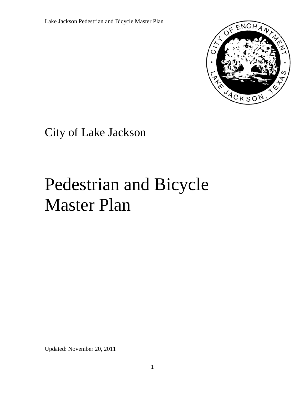

City of Lake Jackson

# Pedestrian and Bicycle Master Plan

Updated: November 20, 2011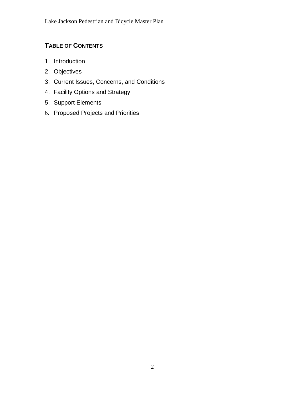# **TABLE OF CONTENTS**

- 1. Introduction
- 2. Objectives
- 3. Current Issues, Concerns, and Conditions
- 4. Facility Options and Strategy
- 5. Support Elements
- 6. Proposed Projects and Priorities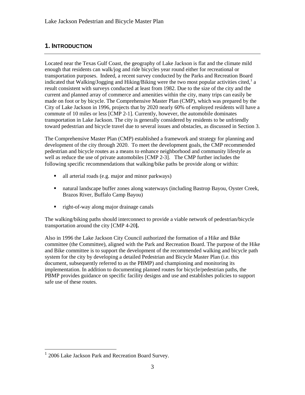# **1. INTRODUCTION**

Located near the Texas Gulf Coast, the geography of Lake Jackson is flat and the climate mild enough that residents can walk/jog and ride bicycles year round either for recreational or transportation purposes. Indeed, a recent survey conducted by the Parks and Recreation Board indicated that Walking/Jogging and Hiking/Biking were the two most popular activities cited,<sup>[1](#page-2-0)</sup> a result consistent with surveys conducted at least from 1982. Due to the size of the city and the current and planned array of commerce and amenities within the city, many trips can easily be made on foot or by bicycle. The Comprehensive Master Plan (CMP), which was prepared by the City of Lake Jackson in 1996, projects that by 2020 nearly 60% of employed residents will have a commute of 10 miles or less [CMP 2-1]. Currently, however, the automobile dominates transportation in Lake Jackson. The city is generally considered by residents to be unfriendly toward pedestrian and bicycle travel due to several issues and obstacles, as discussed in Section 3.

The Comprehensive Master Plan (CMP) established a framework and strategy for planning and development of the city through 2020. To meet the development goals, the CMP recommended pedestrian and bicycle routes as a means to enhance neighborhood and community lifestyle as well as reduce the use of private automobiles [CMP 2-3]. The CMP further includes the following specific recommendations that walking/bike paths be provide along or within:

- all arterial roads (e.g. major and minor parkways)
- natural landscape buffer zones along waterways (including Bastrop Bayou, Oyster Creek, Brazos River, Buffalo Camp Bayou)
- right-of-way along major drainage canals

The walking/biking paths should interconnect to provide a viable network of pedestrian/bicycle transportation around the city [CMP 4-20**].**

Also in 1996 the Lake Jackson City Council authorized the formation of a Hike and Bike committee (the Committee), aligned with the Park and Recreation Board. The purpose of the Hike and Bike committee is to support the development of the recommended walking and bicycle path system for the city by developing a detailed Pedestrian and Bicycle Master Plan (i.e. this document, subsequently referred to as the PBMP) and championing and monitoring its implementation. In addition to documenting planned routes for bicycle/pedestrian paths, the PBMP provides guidance on specific facility designs and use and establishes policies to support safe use of these routes.

<span id="page-2-0"></span> $1$  2006 Lake Jackson Park and Recreation Board Survey.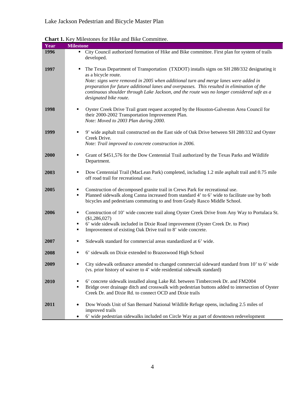| Year | Chart 1. Key Milestones for Thise and Dike Committee.                                                                                                                                                                                                |
|------|------------------------------------------------------------------------------------------------------------------------------------------------------------------------------------------------------------------------------------------------------|
|      | <b>Milestone</b>                                                                                                                                                                                                                                     |
| 1996 | City Council authorized formation of Hike and Bike committee. First plan for system of trails<br>٠<br>developed.                                                                                                                                     |
| 1997 | The Texas Department of Transportation (TXDOT) installs signs on SH 288/332 designating it<br>٠<br>as a bicycle route.<br>Note: signs were removed in 2005 when additional turn and merge lanes were added in                                        |
|      | preparation for future additional lanes and overpasses. This resulted in elimination of the<br>continuous shoulder through Lake Jackson, and the route was no longer considered safe as a<br>designated bike route.                                  |
| 1998 | Oyster Creek Drive Trail grant request accepted by the Houston-Galveston Area Council for<br>their 2000-2002 Transportation Improvement Plan.<br>Note: Moved to 2003 Plan during 2000.                                                               |
| 1999 | 9' wide asphalt trail constructed on the East side of Oak Drive between SH 288/332 and Oyster<br>٠<br>Creek Drive.<br>Note: Trail improved to concrete construction in 2006.                                                                         |
|      |                                                                                                                                                                                                                                                      |
| 2000 | Grant of \$451,576 for the Dow Centennial Trail authorized by the Texas Parks and Wildlife<br>٠<br>Department.                                                                                                                                       |
| 2003 | Dow Centennial Trail (MacLean Park) completed, including 1.2 mile asphalt trail and 0.75 mile<br>٠<br>off road trail for recreational use.                                                                                                           |
| 2005 | Construction of decomposed granite trail in Crews Park for recreational use.<br>٠                                                                                                                                                                    |
|      | Planned sidewalk along Canna increased from standard 4' to 6' wide to facilitate use by both<br>٠<br>bicycles and pedestrians commuting to and from Grady Rasco Middle School.                                                                       |
| 2006 | Construction of 10' wide concrete trail along Oyster Creek Drive from Any Way to Portulaca St.<br>٠<br>(\$1,286,027)                                                                                                                                 |
|      | 6' wide sidewalk included in Dixie Road improvement (Oyster Creek Dr. to Pine)<br>٠                                                                                                                                                                  |
|      | Improvement of existing Oak Drive trail to 8' wide concrete.<br>٠                                                                                                                                                                                    |
| 2007 | Sidewalk standard for commercial areas standardized at 6' wide.<br>٠                                                                                                                                                                                 |
| 2008 | 6' sidewalk on Dixie extended to Brazoswood High School<br>٠                                                                                                                                                                                         |
| 2009 | City sidewalk ordinance amended to changed commercial sideward standard from 10' to 6' wide<br>(vs. prior history of waiver to 4' wide residential sidewalk standard)                                                                                |
| 2010 | 6' concrete sidewalk installed along Lake Rd. between Timbercreek Dr. and FM2004<br>Bridge over drainage ditch and crosswalk with pedestrian buttons added to intersection of Oyster<br>٠<br>Creek Dr. and Dixie Rd. to connect OCD and Dixie trails |
| 2011 | Dow Woods Unit of San Bernard National Wildlife Refuge opens, including 2.5 miles of<br>$\bullet$<br>improved trails                                                                                                                                 |
|      | 6' wide pedestrian sidewalks included on Circle Way as part of downtown redevelopment<br>٠                                                                                                                                                           |

**Chart 1.** Key Milestones for Hike and Bike Committee.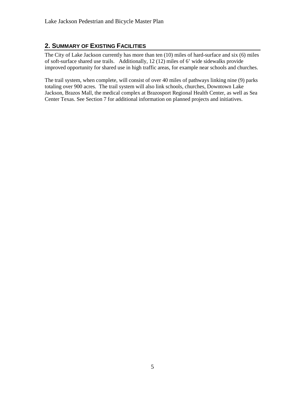# **2. SUMMARY OF EXISTING FACILITIES**

The City of Lake Jackson currently has more than ten (10) miles of hard-surface and six (6) miles of soft-surface shared use trails. Additionally, 12 (12) miles of 6' wide sidewalks provide improved opportunity for shared use in high traffic areas, for example near schools and churches.

The trail system, when complete, will consist of over 40 miles of pathways linking nine (9) parks totaling over 900 acres. The trail system will also link schools, churches, Downtown Lake Jackson, Brazos Mall, the medical complex at Brazosport Regional Health Center, as well as Sea Center Texas. See Section 7 for additional information on planned projects and initiatives.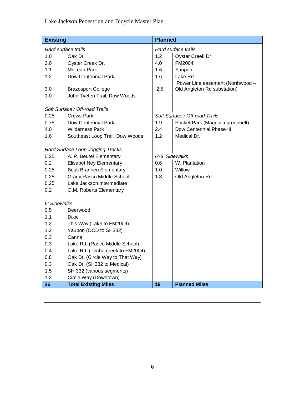| <b>Existing</b>     |                                  | <b>Planned</b>      |                                  |  |
|---------------------|----------------------------------|---------------------|----------------------------------|--|
| Hard surface trails |                                  | Hard surface trails |                                  |  |
| 1.0                 | Oak Dr.                          | 1.2                 | Oyster Creek Dr                  |  |
| 2.0                 | Oyster Creek Dr.                 | 4.0                 | FM2004                           |  |
| 1.1                 | McLean Park                      | 1.6                 | Yaupon                           |  |
| 1.2                 | Dow Centennial Park              | 1.6                 | Lake Rd                          |  |
|                     |                                  |                     | Power Line easement (Northwood - |  |
| 3.0                 | <b>Brazosport College</b>        | 2.5                 | Old Angleton Rd substation)      |  |
| 1.0                 | John Tveten Trail, Dow Woods     |                     |                                  |  |
|                     |                                  |                     |                                  |  |
|                     | Soft Surface / Off-road Trails   |                     |                                  |  |
| 0.25                | <b>Crews Park</b>                |                     | Soft Surface / Off-road Trails   |  |
| 0.75                | Dow Centennial Park              | 1.9                 | Pocket Park (Magnolia greenbelt) |  |
| 4.0                 | <b>Wilderness Park</b>           | 2.4                 | Dow Centennial Phase III         |  |
| 1.6                 | Southeast Loop Trail, Dow Woods  | 1.2                 | Medical Dr.                      |  |
|                     |                                  |                     |                                  |  |
|                     | Hard Surface Loop Jogging Tracks |                     |                                  |  |
| 0.25                | A. P. Beutel Elementary          | 6'-8' Sidewalks     |                                  |  |
| 0.2                 | <b>Elisabet Ney Elementary</b>   | 0.6                 | W. Plantation                    |  |
| 0.25                | <b>Bess Brannen Elementary</b>   | 1.0                 | Willow                           |  |
| 0.25                | <b>Grady Rasco Middle School</b> | 1.8                 | Old Angleton Rd.                 |  |
| 0.25                | Lake Jackson Intermediate        |                     |                                  |  |
| 0.2                 | O.M. Roberts Elementary          |                     |                                  |  |
| 6' Sidewalks        |                                  |                     |                                  |  |
| 0.5                 |                                  |                     |                                  |  |
| 1.1                 | Deerwood                         |                     |                                  |  |
| 1.2                 | Dixie                            |                     |                                  |  |
| 1.2                 | This Way (Lake to FM2004)        |                     |                                  |  |
|                     | Yaupon (OCD to SH332)            |                     |                                  |  |
| 0.3                 | Canna                            |                     |                                  |  |
| 0.3                 | Lake Rd. (Rasco Middle School)   |                     |                                  |  |
| 0.4                 | Lake Rd. (Timbercreek to FM2004) |                     |                                  |  |
| 0.8                 | Oak Dr. (Circle Way to That Way) |                     |                                  |  |
| 0.3                 | Oak Dr. (SH332 to Medical)       |                     |                                  |  |
| 1.5                 | SH 332 (various segments)        |                     |                                  |  |
| 1.2                 | Circle Way (Downtown)            |                     |                                  |  |
| 26                  | <b>Total Existing Miles</b>      | 19                  | <b>Planned Miles</b>             |  |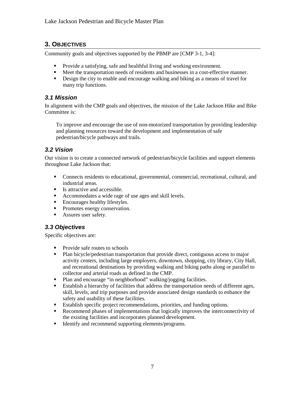# **3. OBJECTIVES**

Community goals and objectives supported by the PBMP are [CMP 3-1, 3-4]:

- Provide a satisfying, safe and healthful living and working environment.
- Meet the transportation needs of residents and businesses in a cost-effective manner.
- Design the city to enable and encourage walking and biking as a means of travel for many trip functions.

#### *3.1 Mission*

In alignment with the CMP goals and objectives, the mission of the Lake Jackson Hike and Bike Committee is:

To improve and encourage the use of non-motorized transportation by providing leadership and planning resources toward the development and implementation of safe pedestrian/bicycle pathways and trails.

## *3.2 Vision*

Our vision is to create a connected network of pedestrian/bicycle facilities and support elements throughout Lake Jackson that:

- Connects residents to educational, governmental, commercial, recreational, cultural, and industrial areas.
- Is attractive and accessible.
- Accommodates a wide rage of use ages and skill levels.
- **Encourages healthy lifestyles.**
- Promotes energy conservation.
- Assures user safety.

## *3.3 Objectives*

Specific objectives are:

- Provide safe routes to schools
- Plan bicycle/pedestrian transportation that provide direct, contiguous access to major activity centers, including large employers, downtown, shopping, city library, City Hall, and recreational destinations by providing walking and biking paths along or parallel to collector and arterial roads as defined in the CMP.
- Plan and encourage "in neighborhood" walking/jogging facilities.
- Establish a hierarchy of facilities that address the transportation needs of different ages, skill, levels, and trip purposes and provide associated design standards to enhance the safety and usability of these facilities.
- Establish specific project recommendations, priorities, and funding options.
- Recommend phases of implementations that logically improves the interconnectivity of the existing facilities and incorporates planned development.
- Identify and recommend supporting elements/programs.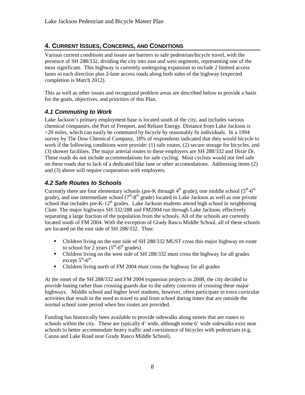# **4. CURRENT ISSUES, CONCERNS, AND CONDITIONS**

Various current conditions and issues are barriers to safe pedestrian/bicycle travel, with the presence of SH 288/332, dividing the city into east and west segments, representing one of the most significant. This highway is currently undergoing expansion to include 2 limited access lanes in each direction plus 2-lane access roads along both sides of the highway (expected completion is March 2012).

This as well as other issues and recognized problem areas are described below to provide a basis for the goals, objectives, and priorities of this Plan.

## *4.1 Commuting to Work*

Lake Jackson's primary employment base is located south of the city, and includes various chemical companies, the Port of Freeport, and Reliant Energy. Distance from Lake Jackson is <20 miles, which can easily be commuted by bicycle by reasonably fit individuals. In a 1994 survey by The Dow Chemical Company, 18% of respondents indicated that they would bicycle to work if the following conditions were provide: (1) safe routes, (2) secure storage for bicycles, and (3) shower facilities. The major arterial routes to these employers are SH 288/332 and Dixie Dr. These roads do not include accommodations for safe cycling. Most cyclists would not feel safe on these roads due to lack of a dedicated bike lane or other accomodations. Addressing items (2) and (3) above will require cooperation with employers.

# *4.2 Safe Routes to Schools*

Currently there are four elementary schools (pre-K through  $4<sup>th</sup>$  grade), one middle school ( $5<sup>th</sup>$ - $6<sup>th</sup>$ grade), and one intermediate school  $(7<sup>th</sup>-8<sup>th</sup>$  grade) located in Lake Jackson as well as one private school that includes pre-K-12<sup>th</sup> grades. Lake Jackson students attend high school in neighboring Clute. The major highways SH 332/288 and FM2004 run through Lake Jackson, effectively separating a large fraction of the population from the schools. All of the schools are currently located south of FM 2004. With the exception of Grady Rasco Middle School, all of these schools are located on the east side of SH 288/332. Thus:

- Children living on the east side of SH 288/332 MUST cross this major highway en route to school for 2 years  $(5<sup>th</sup>-6<sup>th</sup>$  grades)
- Children living on the west side of SH 288/332 must cross the highway for all grades except  $5^{\text{th}}$ - $6^{\text{th}}$ .
- Children living north of FM 2004 must cross the highway for all grades

At the onset of the SH 288/332 and FM 2004 expansion projects in 2008, the city decided to provide busing rather than crossing guards due to the safety concerns of crossing these major highways. Middle school and higher level students, however, often participate in extra curricular activities that result in the need to travel to and from school during times that are outside the normal school zone period when bus routes are provided.

Funding has historically been available to provide sidewalks along streets that are routes to schools within the city. These are typically 4' wide, although some 6' wide sidewalks exist near schools to better accommodate heavy traffic and coexistence of bicycles with pedestrians (e.g. Canna and Lake Road near Grady Rasco Middle School).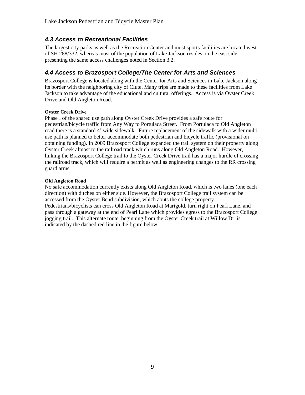## *4.3 Access to Recreational Facilities*

The largest city parks as well as the Recreation Center and most sports facilities are located west of SH 288/332, whereas most of the population of Lake Jackson resides on the east side, presenting the same access challenges noted in Section 3.2.

### *4.4 Access to Brazosport College/The Center for Arts and Sciences*

Brazosport College is located along with the Center for Arts and Sciences in Lake Jackson along its border with the neighboring city of Clute. Many trips are made to these facilities from Lake Jackson to take advantage of the educational and cultural offerings. Access is via Oyster Creek Drive and Old Angleton Road.

#### **Oyster Creek Drive**

Phase I of the shared use path along Oyster Creek Drive provides a safe route for pedestrian/bicycle traffic from Any Way to Portulaca Street. From Portulaca to Old Angleton road there is a standard 4' wide sidewalk. Future replacement of the sidewalk with a wider multiuse path is planned to better accommodate both pedestrian and bicycle traffic (provisional on obtaining funding). In 2009 Brazosport College expanded the trail system on their property along Oyster Creek almost to the railroad track which runs along Old Angleton Road. However, linking the Brazosport College trail to the Oyster Creek Drive trail has a major hurdle of crossing the railroad track, which will require a permit as well as engineering changes to the RR crossing guard arms.

#### **Old Angleton Road**

No safe accommodation currently exists along Old Angleton Road, which is two lanes (one each direction) with ditches on either side. However, the Brazosport College trail system can be accessed from the Oyster Bend subdivision, which abuts the college property. Pedestrians/bicyclists can cross Old Angleton Road at Marigold, turn right on Pearl Lane, and pass through a gateway at the end of Pearl Lane which provides egress to the Brazosport College jogging trail. This alternate route, beginning from the Oyster Creek trail at Willow Dr. is indicated by the dashed red line in the figure below.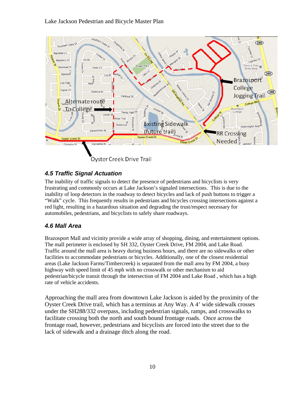

# *4.5 Traffic Signal Actuation*

The inability of traffic signals to detect the presence of pedestrians and bicyclists is very frustrating and commonly occurs at Lake Jackson's signaled intersections. This is due to the inability of loop detectors in the roadway to detect bicycles and lack of push buttons to trigger a "Walk" cycle. This frequently results in pedestrians and bicycles crossing intersections against a red light, resulting in a hazardous situation and degrading the trust/respect necessary for automobiles, pedestrians, and bicyclists to safely share roadways.

# *4.6 Mall Area*

Brazosport Mall and vicinity provide a wide array of shopping, dining, and entertainment options. The mall perimeter is enclosed by SH 332, Oyster Creek Drive, FM 2004, and Lake Road. Traffic around the mall area is heavy during business hours, and there are no sidewalks or other facilities to accommodate pedestrians or bicycles. Additionally, one of the closest residential areas (Lake Jackson Farms/Timbercreek) is separated from the mall area by FM 2004, a busy highway with speed limit of 45 mph with no crosswalk or other mechanism to aid pedestrian/bicycle transit through the intersection of FM 2004 and Lake Road , which has a high rate of vehicle accidents.

Approaching the mall area from downtown Lake Jackson is aided by the proximity of the Oyster Creek Drive trail, which has a terminus at Any Way. A 4' wide sidewalk crosses under the SH288/332 overpass, including pedestrian signals, ramps, and crosswalks to facilitate crossing both the north and south bound frontage roads. Once across the frontage road, however, pedestrians and bicyclists are forced into the street due to the lack of sidewalk and a drainage ditch along the road.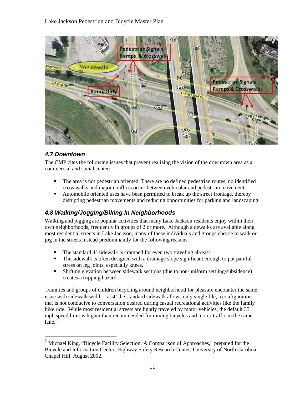

## *4.7 Downtown*

The CMP cites the following issues that prevent realizing the vision of the downtown area as a commercial and social center:

- The area is not pedestrian oriented. There are no defined pedestrian routes, no identified cross walks and major conflicts occur between vehicular and pedestrian movement.
- Automobile oriented uses have been permitted to break up the street frontage, thereby disrupting pedestrian movements and reducing opportunities for parking and landscaping.

## *4.8 Walking/Jogging/Biking in Neighborhoods*

Walking and jogging are popular activities that many Lake Jackson residents enjoy within their own neighborhoods, frequently in groups of 2 or more. Although sidewalks are available along most residential streets in Lake Jackson, many of these individuals and groups choose to walk or jog in the streets instead predominantly for the following reasons:

- The standard 4' sidewalk is cramped for even two traveling abreast.
- The sidewalk is often designed with a drainage slope significant enough to put painful stress on leg joints, especially knees.
- Shifting elevation between sidewalk sections (due to non-uniform settling/subsidence) creates a tripping hazard.

Families and groups of children bicycling around neighborhood for pleasure encounter the same issue with sidewalk width—at 4' the standard sidewalk allows only single file, a configuration that is not conducive to conversation desired during casual recreational activities like the family bike ride. While most residential streets are lightly traveled by motor vehicles, the default 35 mph speed limit is higher than recommended for mixing bicycles and motor traffic in the same  $1$ ane. $2$ 

<span id="page-10-0"></span><sup>&</sup>lt;sup>2</sup> Michael King, "Bicycle Facility Selection: A Comparison of Approaches," prepared for the Bicycle and Information Center, Highway Safety Research Center, University of North Carolina, Chapel Hill, August 2002.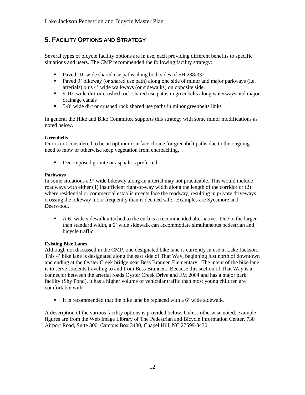# **5. FACILITY OPTIONS AND STRATEGY**

Several types of bicycle facility options are in use, each providing different benefits to specific situations and users. The CMP recommended the following facility strategy:

- Paved 10' wide shared use paths along both sides of SH 288/332
- **Paved 9' bikeway (or shared use path) along one side of minor and major parkways (i.e.** arterials) plus 4' wide walkways (or sidewalks) on opposite side
- 9-10' wide dirt or crushed rock shared use paths in greenbelts along waterways and major drainage canals
- 5-8' wide dirt or crushed rock shared use paths in minor greenbelts links

In general the Hike and Bike Committee supports this strategy with some minor modifications as noted below.

#### **Greenbelts**

Dirt is not considered to be an optimum surface choice for greenbelt paths due to the ongoing need to mow or otherwise keep vegetation from encroaching.

Decomposed granite or asphalt is preferred.

#### **Parkways**

In some situations a 9' wide bikeway along an arterial may not practicable. This would include roadways with either (1) insufficient right-of-way width along the length of the corridor or (2) where residential or commercial establishments face the roadway, resulting in private driveways crossing the bikeway more frequently than is deemed safe. Examples are Sycamore and Deerwood.

A 6' wide sidewalk attached to the curb is a recommended alternative. Due to the larger than standard width, a 6' wide sidewalk can accommodate simultaneous pedestrian and bicycle traffic.

#### **Existing Bike Lanes**

Although not discussed in the CMP, one designated bike lane is currently in use in Lake Jackson. This 4' bike lane is designated along the east side of That Way, beginning just north of downtown and ending at the Oyster Creek bridge near Bess Brannen Elementary. The intent of the bike lane is to serve students traveling to and from Bess Brannen. Because this section of That Way is a connector between the arterial roads Oyster Creek Drive and FM 2004 and has a major park facility (Shy Pond), it has a higher volume of vehicular traffic than most young children are comfortable with.

It is recommended that the bike lane be replaced with a  $6'$  wide sidewalk.

A description of the various facility options is provided below. Unless otherwise noted, example figures are from the Web Image Library of The Pedestrian and Bicycle Information Center, 730 Airport Road, Suite 300, Campus Box 3430, Chapel Hill, NC 27599-3430.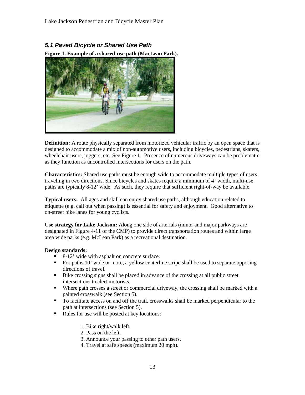*5.1 Paved Bicycle or Shared Use Path* **Figure 1. Example of a shared-use path (MacLean Park).**



**Definition:** A route physically separated from motorized vehicular traffic by an open space that is designed to accommodate a mix of non-automotive users, including bicycles, pedestrians, skaters, wheelchair users, joggers, etc. See Figure 1. Presence of numerous driveways can be problematic as they function as uncontrolled intersections for users on the path.

**Characteristics:** Shared use paths must be enough wide to accommodate multiple types of users traveling in two directions. Since bicycles and skates require a minimum of 4' width, multi-use paths are typically 8-12' wide. As such, they require that sufficient right-of-way be available.

**Typical users:** All ages and skill can enjoy shared use paths, although education related to etiquette (e.g. call out when passing) is essential for safety and enjoyment. Good alternative to on-street bike lanes for young cyclists.

**Use strategy for Lake Jackson:** Along one side of arterials (minor and major parkways are designated in Figure 4-11 of the CMP) to provide direct transportation routes and within large area wide parks (e.g. McLean Park) as a recreational destination.

#### **Design standards:**

- 8-12' wide with asphalt on concrete surface.
- For paths 10' wide or more, a yellow centerline stripe shall be used to separate opposing directions of travel.
- Bike crossing signs shall be placed in advance of the crossing at all public street intersections to alert motorists.
- Where path crosses a street or commercial driveway, the crossing shall be marked with a painted crosswalk (see Section 5).
- To facilitate access on and off the trail, crosswalks shall be marked perpendicular to the path at intersections (see Section 5).
- Rules for use will be posted at key locations:
	- 1. Bike right/walk left.
	- 2. Pass on the left.
	- 3. Announce your passing to other path users.
	- 4. Travel at safe speeds (maximum 20 mph).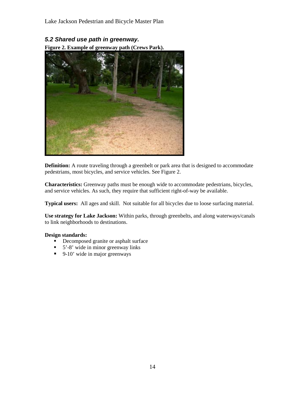## *5.2 Shared use path in greenway.*

**Figure 2. Example of greenway path (Crews Park).**



**Definition:** A route traveling through a greenbelt or park area that is designed to accommodate pedestrians, most bicycles, and service vehicles. See Figure 2.

**Characteristics:** Greenway paths must be enough wide to accommodate pedestrians, bicycles, and service vehicles. As such, they require that sufficient right-of-way be available.

**Typical users:** All ages and skill. Not suitable for all bicycles due to loose surfacing material.

**Use strategy for Lake Jackson:** Within parks, through greenbelts, and along waterways/canals to link neighborhoods to destinations.

#### **Design standards:**

- **•** Decomposed granite or asphalt surface
- $\blacksquare$  5'-8' wide in minor greenway links
- $\blacksquare$  9-10' wide in major greenways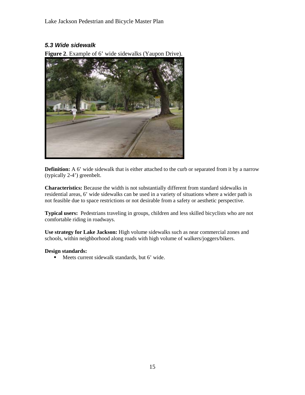#### *5.3 Wide sidewalk*

**Figure 2**. Example of 6' wide sidewalks (Yaupon Drive).



**Definition:** A 6' wide sidewalk that is either attached to the curb or separated from it by a narrow (typically 2-4') greenbelt.

**Characteristics:** Because the width is not substantially different from standard sidewalks in residential areas, 6' wide sidewalks can be used in a variety of situations where a wider path is not feasible due to space restrictions or not desirable from a safety or aesthetic perspective.

**Typical users:** Pedestrians traveling in groups, children and less skilled bicyclists who are not comfortable riding in roadways.

**Use strategy for Lake Jackson:** High volume sidewalks such as near commercial zones and schools, within neighborhood along roads with high volume of walkers/joggers/bikers.

#### **Design standards:**

Meets current sidewalk standards, but 6' wide.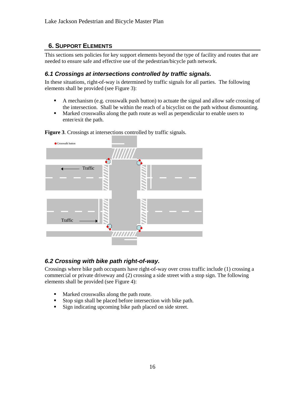# **6. SUPPORT ELEMENTS**

This sections sets policies for key support elements beyond the type of facility and routes that are needed to ensure safe and effective use of the pedestrian/bicycle path network.

### *6.1 Crossings at intersections controlled by traffic signals.*

In these situations, right-of-way is determined by traffic signals for all parties. The following elements shall be provided (see Figure 3):

- A mechanism (e.g. crosswalk push button) to actuate the signal and allow safe crossing of the intersection. Shall be within the reach of a bicyclist on the path without dismounting.
- Marked crosswalks along the path route as well as perpendicular to enable users to enter/exit the path.



**Figure 3**. Crossings at intersections controlled by traffic signals.

## *6.2 Crossing with bike path right-of-way.*

Crossings where bike path occupants have right-of-way over cross traffic include (1) crossing a commercial or private driveway and (2) crossing a side street with a stop sign. The following elements shall be provided (see Figure 4):

- Marked crosswalks along the path route.<br>• Ston sign shall be placed before intersect
- Stop sign shall be placed before intersection with bike path.
- Sign indicating upcoming bike path placed on side street.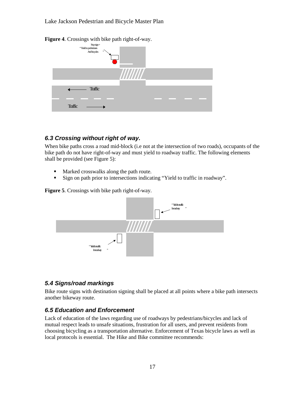

**Figure 4**. Crossings with bike path right-of-way.

### *6.3 Crossing without right of way.*

When bike paths cross a road mid-block (i.e not at the intersection of two roads), occupants of the bike path do not have right-of-way and must yield to roadway traffic. The following elements shall be provided (see Figure 5):

- **Marked crosswalks along the path route.**
- Sign on path prior to intersections indicating "Yield to traffic in roadway".

**Figure 5**. Crossings with bike path right-of-way.



#### *5.4 Signs/road markings*

Bike route signs with destination signing shall be placed at all points where a bike path intersects another bikeway route.

#### *6.5 Education and Enforcement*

Lack of education of the laws regarding use of roadways by pedestrians/bicycles and lack of mutual respect leads to unsafe situations, frustration for all users, and prevent residents from choosing bicycling as a transportation alternative. Enforcement of Texas bicycle laws as well as local protocols is essential. The Hike and Bike committee recommends: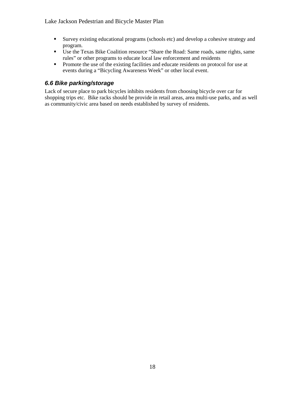- Survey existing educational programs (schools etc) and develop a cohesive strategy and program.
- Use the Texas Bike Coalition resource "Share the Road: Same roads, same rights, same rules" or other programs to educate local law enforcement and residents
- **Promote the use of the existing facilities and educate residents on protocol for use at** events during a "Bicycling Awareness Week" or other local event.

### *6.6 Bike parking/storage*

Lack of secure place to park bicycles inhibits residents from choosing bicycle over car for shopping trips etc. Bike racks should be provide in retail areas, area multi-use parks, and as well as community/civic area based on needs established by survey of residents.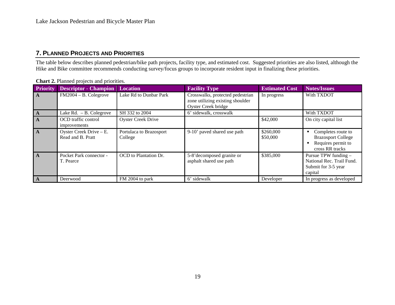# **7. PLANNED PROJECTS AND PRIORITIES**

The table below describes planned pedestrian/bike path projects, facility type, and estimated cost. Suggested priorities are also listed, although the Hike and Bike committee recommends conducting survey/focus groups to incorporate resident input in finalizing these priorities.

| <b>Priority</b> | <b>Descriptor - Champion</b>                    | <b>Location</b>                    | <b>Facility Type</b>                                                                        | <b>Estimated Cost</b> | <b>Notes/Issues</b>                                                                      |
|-----------------|-------------------------------------------------|------------------------------------|---------------------------------------------------------------------------------------------|-----------------------|------------------------------------------------------------------------------------------|
| $\mathbf{A}$    | $FM2004 - B$ . Colegrove                        | Lake Rd to Dunbar Park             | Crosswalks, protected pedestrian<br>zone utilizing existing shoulder<br>Oyster Creek bridge | In progress           | With TXDOT                                                                               |
| $\mathbf{A}$    | Lake $Rd. - B.$ Colegrove                       | SH 332 to 2004                     | 6' sidewalk, crosswalk                                                                      |                       | With TXDOT                                                                               |
| $\mathbf A$     | OCD traffic control<br>improvements             | <b>Oyster Creek Drive</b>          |                                                                                             | \$42,000              | On city capital list                                                                     |
| $\overline{A}$  | Oyster Creek Drive $- E$ .<br>Read and B. Pratt | Portulaca to Brazosport<br>College | 9-10' paved shared use path                                                                 | \$260,000<br>\$50,000 | Completes route to<br><b>Brazosport College</b><br>Requires permit to<br>cross RR tracks |
| $\mathsf{A}$    | Pocket Park connector -<br>T. Pearce            | OCD to Plantation Dr.              | 5-8'decomposed granite or<br>asphalt shared use path                                        | \$385,000             | Pursue TPW funding -<br>National Rec. Trail Fund.<br>Submit for 3-5 year<br>capital      |
| $\mathbf A$     | Deerwood                                        | FM 2004 to park                    | 6' sidewalk                                                                                 | Developer             | In progress as developed                                                                 |

#### **Chart 2.** Planned projects and priorities.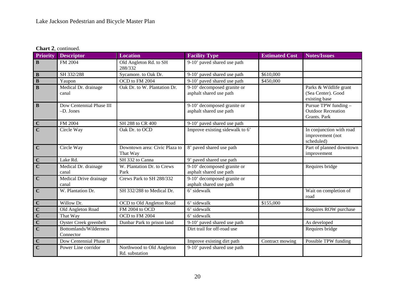**Chart 2**, continued.

| <b>Priority</b>                   | <b>Descriptor</b>                     | <b>Location</b>                             | <b>Facility Type</b>                                   | <b>Estimated Cost</b> | <b>Notes/Issues</b>                                               |
|-----------------------------------|---------------------------------------|---------------------------------------------|--------------------------------------------------------|-----------------------|-------------------------------------------------------------------|
| $\mathbf B$                       | FM 2004                               | Old Angleton Rd. to SH<br>288/332           | 9-10' paved shared use path                            |                       |                                                                   |
| $\, {\bf B}$                      | SH 332/288                            | Sycamore. to Oak Dr.                        | 9-10' paved shared use path<br>\$610,000               |                       |                                                                   |
| $\overline{\mathbf{B}}$           | Yaupon                                | OCD to FM 2004                              | 9-10' paved shared use path                            | \$450,000             |                                                                   |
| $\bf{B}$                          | Medical Dr. drainage<br>canal         | Oak Dr. to W. Plantation Dr.                | 9-10' decomposed granite or<br>asphalt shared use path |                       | Parks & Wildlife grant<br>(Sea Center). Good<br>existing base     |
| $\mathbf B$                       | Dow Centennial Phase III<br>-D. Jones |                                             | 9-10' decomposed granite or<br>asphalt shared use path |                       | Pursue TPW funding -<br><b>Outdoor Recreation</b><br>Grants. Park |
| $rac{C}{C}$                       | FM 2004                               | SH 288 to CR 400                            | 9-10' paved shared use path                            |                       |                                                                   |
|                                   | Circle Way                            | Oak Dr. to OCD                              | Improve existing sidewalk to 6'                        |                       | In conjunction with road<br>improvement (not<br>scheduled)        |
| $\mathbf C$                       | Circle Way                            | Downtown area: Civic Plaza to<br>That Way   | 8' paved shared use path                               |                       | Part of planned downtown<br>improvement                           |
| $rac{\overline{C}}{\overline{C}}$ | Lake Rd.                              | SH 332 to Canna                             | 9' paved shared use path                               |                       |                                                                   |
|                                   | Medical Dr. drainage<br>canal         | W. Plantation Dr. to Crews<br>Park          | 9-10' decomposed granite or<br>asphalt shared use path |                       | Requires bridge                                                   |
| $\overline{\mathbf{C}}$           | Medical Drive drainage<br>canal       | Crews Park to SH 288/332                    | 9-10' decomposed granite or<br>asphalt shared use path |                       |                                                                   |
| $\mathbf C$                       | W. Plantation Dr.                     | SH 332/288 to Medical Dr.                   | 6' sidewalk                                            |                       | Wait on completion of<br>road                                     |
|                                   | Willow Dr.                            | OCD to Old Angleton Road                    | 6' sidewalk                                            | \$155,000             |                                                                   |
| $rac{C}{C}$<br>$rac{C}{C}$        | Old Angleton Road                     | FM 2004 to OCD                              | 6' sidewalk                                            |                       | Requires ROW purchase                                             |
|                                   | That Way                              | OCD to FM 2004                              | $\overline{6}$ ' sidewalk                              |                       |                                                                   |
|                                   | Oyster Creek greenbelt                | Dunbar Park to prison land                  | 9-10' paved shared use path                            |                       | As developed                                                      |
|                                   | Bottomlands/Wilderness<br>Connector   |                                             | Dirt trail for off-road use                            |                       | Requires bridge                                                   |
| $\mathbf C$                       | Dow Centennial Phase II               |                                             | Improve existing dirt path                             | Contract mowing       | Possible TPW funding                                              |
| $\overline{C}$                    | Power Line corridor                   | Northwood to Old Angleton<br>Rd. substation | 9-10' paved shared use path                            |                       |                                                                   |